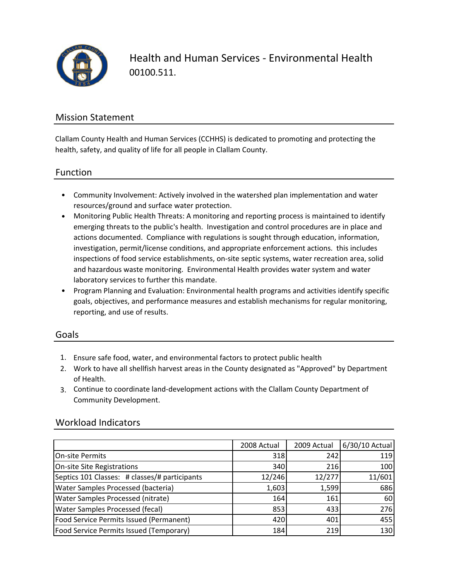

Health and Human Services ‐ Environmental Health 00100.511.

## Mission Statement

Clallam County Health and Human Services (CCHHS) is dedicated to promoting and protecting the health, safety, and quality of life for all people in Clallam County.

### Function

- Community Involvement: Actively involved in the watershed plan implementation and water resources/ground and surface water protection.
- Monitoring Public Health Threats: A monitoring and reporting process is maintained to identify emerging threats to the public's health. Investigation and control procedures are in place and actions documented. Compliance with regulations is sought through education, information, investigation, permit/license conditions, and appropriate enforcement actions. this includes inspections of food service establishments, on-site septic systems, water recreation area, solid and hazardous waste monitoring. Environmental Health provides water system and water laboratory services to further this mandate.
- Program Planning and Evaluation: Environmental health programs and activities identify specific goals, objectives, and performance measures and establish mechanisms for regular monitoring, reporting, and use of results.

#### Goals

- 1. Ensure safe food, water, and environmental factors to protect public health
- 2. Work to have all shellfish harvest areas in the County designated as "Approved" by Department of Health.
- 3. Continue to coordinate land‐development actions with the Clallam County Department of Community Development.

### Workload Indicators

|                                               | 2008 Actual | 2009 Actual | 6/30/10 Actual |
|-----------------------------------------------|-------------|-------------|----------------|
| <b>On-site Permits</b>                        | 318         | 242         | 119            |
| On-site Site Registrations                    | 340         | 216         | 100            |
| Septics 101 Classes: # classes/# participants | 12/246      | 12/277      | 11/601         |
| <b>Water Samples Processed (bacteria)</b>     | 1,603       | 1,599       | 686            |
| <b>Water Samples Processed (nitrate)</b>      | 164         | 161         | 60             |
| <b>Water Samples Processed (fecal)</b>        | 853         | 433         | 276            |
| Food Service Permits Issued (Permanent)       | 420         | 401         | 455            |
| Food Service Permits Issued (Temporary)       | 184         | 219         | 130            |